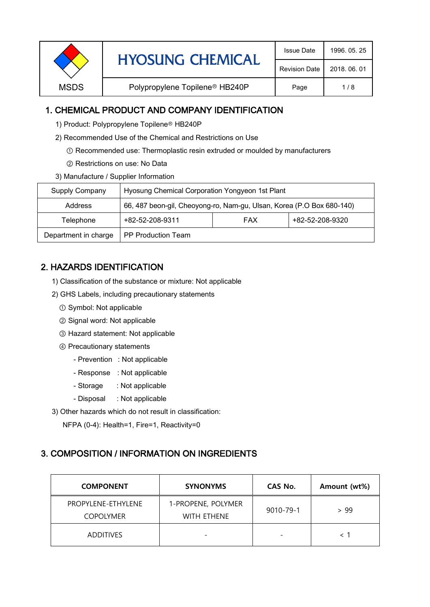| <b>HYOSUNG CHEMICAL</b> | <b>Issue Date</b>                          | 1996, 05, 25         |              |
|-------------------------|--------------------------------------------|----------------------|--------------|
|                         |                                            | <b>Revision Date</b> | 2018, 06, 01 |
| <b>MSDS</b>             | Polypropylene Topilene <sup>®</sup> HB240P | Page                 | 1/8          |
|                         |                                            |                      |              |

# 1. CHEMICAL PRODUCT AND COMPANY IDENTIFICATION

- 1) Product: Polypropylene Topilene<sup>®</sup> HB240P
- 2) Recommended Use of the Chemical and Restrictions on Use
	- ① Recommended use: Thermoplastic resin extruded or moulded by manufacturers
	- ② Restrictions on use: No Data
- 3) Manufacture / Supplier Information

| Supply Company       | Hyosung Chemical Corporation Yongyeon 1st Plant                       |            |                 |  |
|----------------------|-----------------------------------------------------------------------|------------|-----------------|--|
| <b>Address</b>       | 66, 487 beon-gil, Cheoyong-ro, Nam-gu, Ulsan, Korea (P.O Box 680-140) |            |                 |  |
| Telephone            | +82-52-208-9311                                                       | <b>FAX</b> | +82-52-208-9320 |  |
| Department in charge | PP Production Team                                                    |            |                 |  |

# 2. HAZARDS IDENTIFICATION

- 1) Classification of the substance or mixture: Not applicable
- 2) GHS Labels, including precautionary statements
	- ① Symbol: Not applicable
	- ② Signal word: Not applicable
	- ③ Hazard statement: Not applicable
	- ④ Precautionary statements
		- Prevention : Not applicable
		- Response : Not applicable
		- Storage : Not applicable
		- Disposal : Not applicable
- 3) Other hazards which do not result in classification:

NFPA (0-4): Health=1, Fire=1, Reactivity=0

### 3. COMPOSITION / INFORMATION ON INGREDIENTS

| <b>COMPONENT</b>                       | <b>SYNONYMS</b>                   | CAS No.   | Amount (wt%) |
|----------------------------------------|-----------------------------------|-----------|--------------|
| PROPYLENE-ETHYLENE<br><b>COPOLYMER</b> | 1-PROPENE, POLYMER<br>WITH ETHENE | 9010-79-1 | > 99         |
| <b>ADDITIVES</b>                       |                                   |           |              |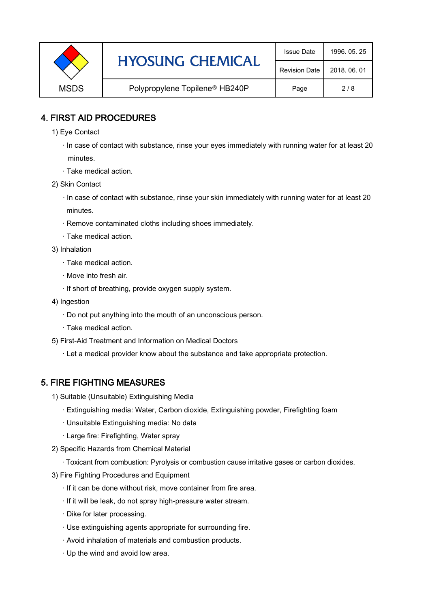|             | <b>HYOSUNG CHEMICAL</b>                    | <b>Issue Date</b>    | 1996, 05, 25 |
|-------------|--------------------------------------------|----------------------|--------------|
|             |                                            | <b>Revision Date</b> | 2018, 06, 01 |
| <b>MSDS</b> | Polypropylene Topilene <sup>®</sup> HB240P | Page                 | 2/8          |

### 4. FIRST AID PROCEDURES

- 1) Eye Contact
	- · In case of contact with substance, rinse your eyes immediately with running water for at least 20 minutes.
	- · Take medical action.
- 2) Skin Contact
	- · In case of contact with substance, rinse your skin immediately with running water for at least 20 minutes.
	- · Remove contaminated cloths including shoes immediately.
	- · Take medical action.
- 3) Inhalation
	- · Take medical action.
	- · Move into fresh air.
	- · If short of breathing, provide oxygen supply system.
- 4) Ingestion
	- · Do not put anything into the mouth of an unconscious person.
	- · Take medical action.
- 5) First-Aid Treatment and Information on Medical Doctors
	- · Let a medical provider know about the substance and take appropriate protection.

# 5. FIRE FIGHTING MEASURES

- 1) Suitable (Unsuitable) Extinguishing Media
	- · Extinguishing media: Water, Carbon dioxide, Extinguishing powder, Firefighting foam
	- · Unsuitable Extinguishing media: No data
	- · Large fire: Firefighting, Water spray
- 2) Specific Hazards from Chemical Material
	- · Toxicant from combustion: Pyrolysis or combustion cause irritative gases or carbon dioxides.
- 3) Fire Fighting Procedures and Equipment
	- · If it can be done without risk, move container from fire area.
	- · If it will be leak, do not spray high-pressure water stream.
	- · Dike for later processing.
	- · Use extinguishing agents appropriate for surrounding fire.
	- · Avoid inhalation of materials and combustion products.
	- · Up the wind and avoid low area.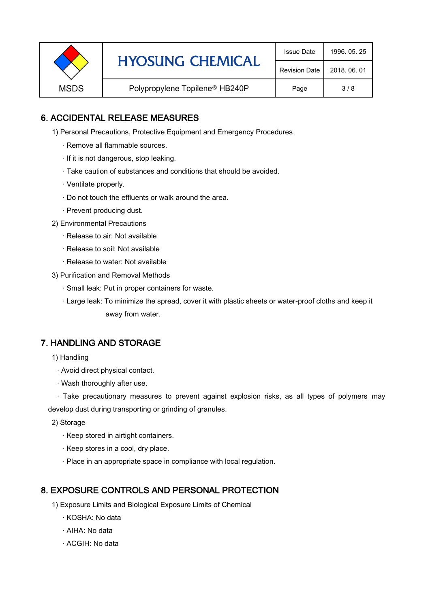|             | <b>HYOSUNG CHEMICAL</b>                    | <b>Issue Date</b> | 1996, 05, 25 |
|-------------|--------------------------------------------|-------------------|--------------|
|             | <b>Revision Date</b>                       | 2018, 06, 01      |              |
| <b>MSDS</b> | Polypropylene Topilene <sup>®</sup> HB240P | Page              | 3/8          |

### 6. ACCIDENTAL RELEASE MEASURES

- 1) Personal Precautions, Protective Equipment and Emergency Procedures
	- · Remove all flammable sources.
	- · If it is not dangerous, stop leaking.
	- · Take caution of substances and conditions that should be avoided.
	- · Ventilate properly.
	- · Do not touch the effluents or walk around the area.
	- · Prevent producing dust.
- 2) Environmental Precautions
	- · Release to air: Not available
	- · Release to soil: Not available
	- · Release to water: Not available
- 3) Purification and Removal Methods
	- · Small leak: Put in proper containers for waste.
	- ,· Large leak: To minimize the spread, cover it with plastic sheets or water-proof cloths and keep it away from water.

### 7. HANDLING AND STORAGE

- 1) Handling
	- · Avoid direct physical contact.
	- · Wash thoroughly after use.

· Take precautionary measures to prevent against explosion risks, as all types of polymers may develop dust during transporting or grinding of granules.

- 2) Storage
	- · Keep stored in airtight containers.
	- · Keep stores in a cool, dry place.
	- · Place in an appropriate space in compliance with local regulation.

### 8. EXPOSURE CONTROLS AND PERSONAL PROTECTION

- 1) Exposure Limits and Biological Exposure Limits of Chemical
	- · KOSHA: No data
	- · AIHA: No data
	- · ACGIH: No data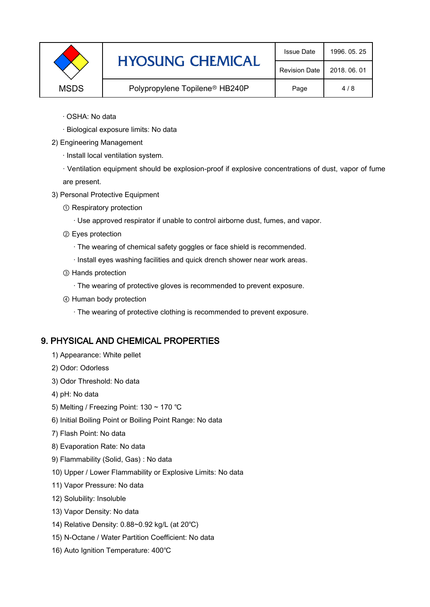|             | <b>HYOSUNG CHEMICAL</b>                    | <b>Issue Date</b>    | 1996, 05, 25 |
|-------------|--------------------------------------------|----------------------|--------------|
|             |                                            | <b>Revision Date</b> | 2018, 06, 01 |
| <b>MSDS</b> | Polypropylene Topilene <sup>®</sup> HB240P | Page                 | 4/8          |

- · OSHA: No data
- · Biological exposure limits: No data
- 2) Engineering Management
	- · Install local ventilation system.

· Ventilation equipment should be explosion-proof if explosive concentrations of dust, vapor of fume are present.

- 3) Personal Protective Equipment
	- ① Respiratory protection
		- · Use approved respirator if unable to control airborne dust, fumes, and vapor.
	- ② Eyes protection
		- · The wearing of chemical safety goggles or face shield is recommended.
		- · Install eyes washing facilities and quick drench shower near work areas.
	- ③ Hands protection
		- · The wearing of protective gloves is recommended to prevent exposure.
	- ④ Human body protection
		- · The wearing of protective clothing is recommended to prevent exposure.

#### 9. PHYSICAL AND CHEMICAL PROPERTIES

- 1) Appearance: White pellet
- 2) Odor: Odorless
- 3) Odor Threshold: No data
- 4) pH: No data
- 5) Melting / Freezing Point: 130 ~ 170 ℃
- 6) Initial Boiling Point or Boiling Point Range: No data
- 7) Flash Point: No data
- 8) Evaporation Rate: No data
- 9) Flammability (Solid, Gas) : No data
- 10) Upper / Lower Flammability or Explosive Limits: No data
- 11) Vapor Pressure: No data
- 12) Solubility: Insoluble
- 13) Vapor Density: No data
- 14) Relative Density: 0.88~0.92 kg/L (at 20℃)
- 15) N-Octane / Water Partition Coefficient: No data
- 16) Auto Ignition Temperature: 400℃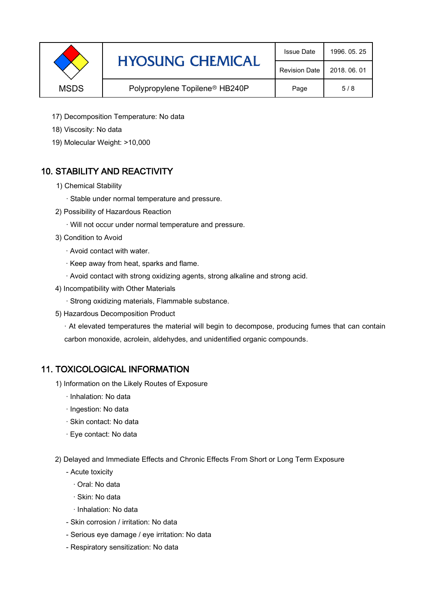|             | <b>HYOSUNG CHEMICAL</b>                    | <b>Issue Date</b>    | 1996, 05, 25 |
|-------------|--------------------------------------------|----------------------|--------------|
|             |                                            | <b>Revision Date</b> | 2018, 06, 01 |
| <b>MSDS</b> | Polypropylene Topilene <sup>®</sup> HB240P | Page                 | 5/8          |

- 17) Decomposition Temperature: No data
- 18) Viscosity: No data
- 19) Molecular Weight: >10,000

# 10. STABILITY AND REACTIVITY

- 1) Chemical Stability
	- · Stable under normal temperature and pressure.
- 2) Possibility of Hazardous Reaction
	- · Will not occur under normal temperature and pressure.
- 3) Condition to Avoid
	- · Avoid contact with water.
	- · Keep away from heat, sparks and flame.
	- · Avoid contact with strong oxidizing agents, strong alkaline and strong acid.
- 4) Incompatibility with Other Materials
	- · Strong oxidizing materials, Flammable substance.
- 5) Hazardous Decomposition Product

· At elevated temperatures the material will begin to decompose, producing fumes that can contain carbon monoxide, acrolein, aldehydes, and unidentified organic compounds.

### 11. TOXICOLOGICAL INFORMATION

- 1) Information on the Likely Routes of Exposure
	- · Inhalation: No data
	- · Ingestion: No data
	- · Skin contact: No data
	- · Eye contact: No data
- 2) Delayed and Immediate Effects and Chronic Effects From Short or Long Term Exposure
	- Acute toxicity
		- · Oral: No data
		- · Skin: No data
		- · Inhalation: No data
	- Skin corrosion / irritation: No data
	- Serious eye damage / eye irritation: No data
	- Respiratory sensitization: No data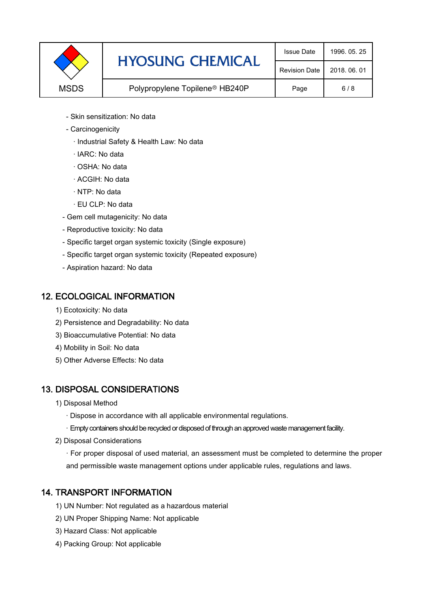

- Skin sensitization: No data
- Carcinogenicity
	- · Industrial Safety & Health Law: No data
	- · IARC: No data
	- · OSHA: No data
	- · ACGIH: No data
	- · NTP: No data
	- · EU CLP: No data
- Gem cell mutagenicity: No data
- Reproductive toxicity: No data
- Specific target organ systemic toxicity (Single exposure)
- Specific target organ systemic toxicity (Repeated exposure)
- Aspiration hazard: No data

### 12. ECOLOGICAL INFORMATION

- 1) Ecotoxicity: No data
- 2) Persistence and Degradability: No data
- 3) Bioaccumulative Potential: No data
- 4) Mobility in Soil: No data
- 5) Other Adverse Effects: No data

# 13. DISPOSAL CONSIDERATIONS

- 1) Disposal Method
	- · Dispose in accordance with all applicable environmental regulations.
	- · Empty containers should be recycled or disposed of through an approved waste management facility.
- 2) Disposal Considerations
	- · For proper disposal of used material, an assessment must be completed to determine the proper and permissible waste management options under applicable rules, regulations and laws.

# 14. TRANSPORT INFORMATION

- 1) UN Number: Not regulated as a hazardous material
- 2) UN Proper Shipping Name: Not applicable
- 3) Hazard Class: Not applicable
- 4) Packing Group: Not applicable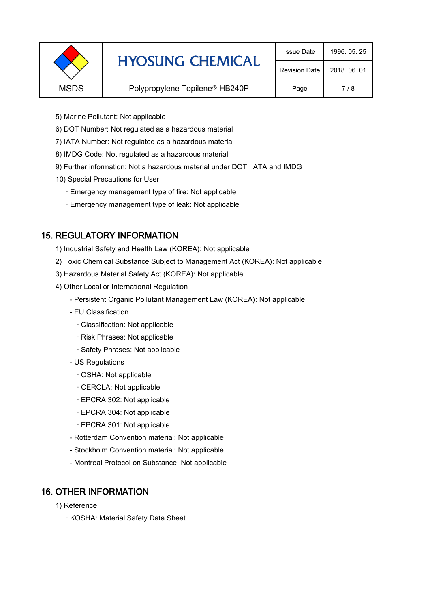|             | <b>HYOSUNG CHEMICAL</b>                    | <b>Issue Date</b>    | 1996, 05, 25 |
|-------------|--------------------------------------------|----------------------|--------------|
|             |                                            | <b>Revision Date</b> | 2018, 06, 01 |
| <b>MSDS</b> | Polypropylene Topilene <sup>®</sup> HB240P | Page                 | 7/8          |
|             |                                            |                      |              |

- 5) Marine Pollutant: Not applicable
- 6) DOT Number: Not regulated as a hazardous material
- 7) IATA Number: Not regulated as a hazardous material
- 8) IMDG Code: Not regulated as a hazardous material
- 9) Further information: Not a hazardous material under DOT, IATA and IMDG
- 10) Special Precautions for User
	- · Emergency management type of fire: Not applicable
	- · Emergency management type of leak: Not applicable

# 15. REGULATORY INFORMATION

- 1) Industrial Safety and Health Law (KOREA): Not applicable
- 2) Toxic Chemical Substance Subject to Management Act (KOREA): Not applicable
- 3) Hazardous Material Safety Act (KOREA): Not applicable
- 4) Other Local or International Regulation
	- Persistent Organic Pollutant Management Law (KOREA): Not applicable
	- EU Classification
		- · Classification: Not applicable
		- · Risk Phrases: Not applicable
		- · Safety Phrases: Not applicable
	- US Regulations
		- · OSHA: Not applicable
		- · CERCLA: Not applicable
		- · EPCRA 302: Not applicable
		- · EPCRA 304: Not applicable
		- · EPCRA 301: Not applicable
	- Rotterdam Convention material: Not applicable
	- Stockholm Convention material: Not applicable
	- Montreal Protocol on Substance: Not applicable

# 16. OTHER INFORMATION

- 1) Reference
	- · KOSHA: Material Safety Data Sheet